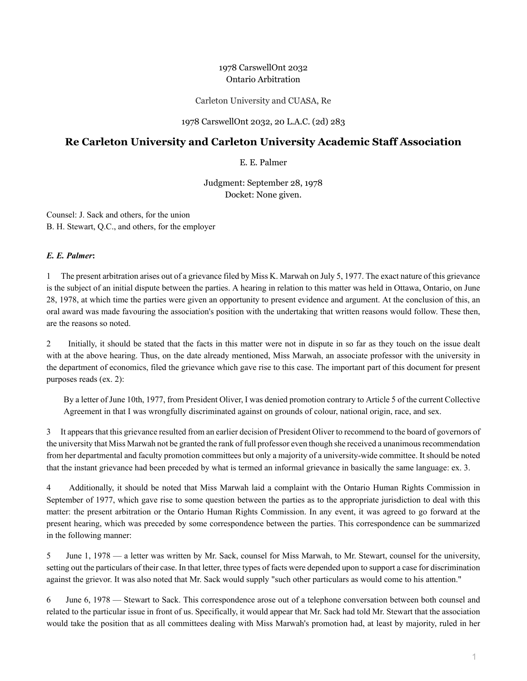## 1978 CarswellOnt 2032 Ontario Arbitration

Carleton University and CUASA, Re

1978 CarswellOnt 2032, 20 L.A.C. (2d) 283

## **Re Carleton University and Carleton University Academic Staff Association**

E. E. Palmer

Judgment: September 28, 1978 Docket: None given.

Counsel: J. Sack and others, for the union B. H. Stewart, Q.C., and others, for the employer

## *E. E. Palmer***:**

1 The present arbitration arises out of a grievance filed by Miss K. Marwah on July 5, 1977. The exact nature of this grievance is the subject of an initial dispute between the parties. A hearing in relation to this matter was held in Ottawa, Ontario, on June 28, 1978, at which time the parties were given an opportunity to present evidence and argument. At the conclusion of this, an oral award was made favouring the association's position with the undertaking that written reasons would follow. These then, are the reasons so noted.

2 Initially, it should be stated that the facts in this matter were not in dispute in so far as they touch on the issue dealt with at the above hearing. Thus, on the date already mentioned, Miss Marwah, an associate professor with the university in the department of economics, filed the grievance which gave rise to this case. The important part of this document for present purposes reads (ex. 2):

By a letter of June 10th, 1977, from President Oliver, I was denied promotion contrary to Article 5 of the current Collective Agreement in that I was wrongfully discriminated against on grounds of colour, national origin, race, and sex.

3 It appears that this grievance resulted from an earlier decision of President Oliver to recommend to the board of governors of the university that Miss Marwah not be granted the rank of full professor even though she received a unanimous recommendation from her departmental and faculty promotion committees but only a majority of a university-wide committee. It should be noted that the instant grievance had been preceded by what is termed an informal grievance in basically the same language: ex. 3.

4 Additionally, it should be noted that Miss Marwah laid a complaint with the Ontario Human Rights Commission in September of 1977, which gave rise to some question between the parties as to the appropriate jurisdiction to deal with this matter: the present arbitration or the Ontario Human Rights Commission. In any event, it was agreed to go forward at the present hearing, which was preceded by some correspondence between the parties. This correspondence can be summarized in the following manner:

5 June 1, 1978 — a letter was written by Mr. Sack, counsel for Miss Marwah, to Mr. Stewart, counsel for the university, setting out the particulars of their case. In that letter, three types of facts were depended upon to support a case for discrimination against the grievor. It was also noted that Mr. Sack would supply "such other particulars as would come to his attention."

6 June 6, 1978 — Stewart to Sack. This correspondence arose out of a telephone conversation between both counsel and related to the particular issue in front of us. Specifically, it would appear that Mr. Sack had told Mr. Stewart that the association would take the position that as all committees dealing with Miss Marwah's promotion had, at least by majority, ruled in her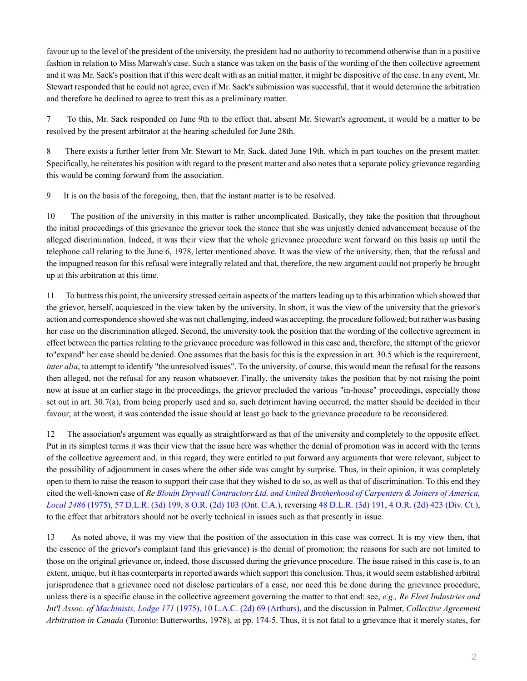favour up to the level of the president of the university, the president had no authority to recommend otherwise than in a positive fashion in relation to Miss Marwah's case. Such a stance was taken on the basis of the wording of the then collective agreement and it was Mr. Sack's position that if this were dealt with as an initial matter, it might be dispositive of the case. In any event, Mr. Stewart responded that he could not agree, even if Mr. Sack's submission was successful, that it would determine the arbitration and therefore he declined to agree to treat this as a preliminary matter.

7 To this, Mr. Sack responded on June 9th to the effect that, absent Mr. Stewart's agreement, it would be a matter to be resolved by the present arbitrator at the hearing scheduled for June 28th.

8 There exists a further letter from Mr. Stewart to Mr. Sack, dated June 19th, which in part touches on the present matter. Specifically, he reiterates his position with regard to the present matter and also notes that a separate policy grievance regarding this would be coming forward from the association.

9 It is on the basis of the foregoing, then, that the instant matter is to be resolved.

10 The position of the university in this matter is rather uncomplicated. Basically, they take the position that throughout the initial proceedings of this grievance the grievor took the stance that she was unjustly denied advancement because of the alleged discrimination. Indeed, it was their view that the whole grievance procedure went forward on this basis up until the telephone call relating to the June 6, 1978, letter mentioned above. It was the view of the university, then, that the refusal and the impugned reason for this refusal were integrally related and that, therefore, the new argument could not properly be brought up at this arbitration at this time.

11 To buttress this point, the university stressed certain aspects of the matters leading up to this arbitration which showed that the grievor, herself, acquiesced in the view taken by the university. In short, it was the view of the university that the grievor's action and correspondence showed she was not challenging, indeed was accepting, the procedure followed; but rather was basing her case on the discrimination alleged. Second, the university took the position that the wording of the collective agreement in effect between the parties relating to the grievance procedure was followed in this case and, therefore, the attempt of the grievor to"expand" her case should be denied. One assumes that the basis for this is the expression in art. 30.5 which is the requirement, *inter alia*, to attempt to identify "the unresolved issues". To the university, of course, this would mean the refusal for the reasons then alleged, not the refusal for any reason whatsoever. Finally, the university takes the position that by not raising the point now at issue at an earlier stage in the proceedings, the grievor precluded the various "in-house" proceedings, especially those set out in art. 30.7(a), from being properly used and so, such detriment having occurred, the matter should be decided in their favour; at the worst, it was contended the issue should at least go back to the grievance procedure to be reconsidered.

12 The association's argument was equally as straightforward as that of the university and completely to the opposite effect. Put in its simplest terms it was their view that the issue here was whether the denial of promotion was in accord with the terms of the collective agreement and, in this regard, they were entitled to put forward any arguments that were relevant, subject to the possibility of adjournment in cases where the other side was caught by surprise. Thus, in their opinion, it was completely open to them to raise the reason to support their case that they wished to do so, as well as that of discrimination. To this end they cited the well-known case of *Re [Blouin Drywall Contractors Ltd. and United Brotherhood of Carpenters & Joiners of America,](http://nextcanada.westlaw.com/Link/Document/FullText?findType=Y&serNum=1975145513&pubNum=0005150&originatingDoc=Iddb0f57ab4095eb8e0440021280d79ee&refType=IC&originationContext=document&vr=3.0&rs=cblt1.0&transitionType=DocumentItem&contextData=(sc.Search)) Local 2486* [\(1975\), 57 D.L.R. \(3d\) 199, 8 O.R. \(2d\) 103 \(Ont. C.A.\),](http://nextcanada.westlaw.com/Link/Document/FullText?findType=Y&serNum=1975145513&pubNum=0005150&originatingDoc=Iddb0f57ab4095eb8e0440021280d79ee&refType=IC&originationContext=document&vr=3.0&rs=cblt1.0&transitionType=DocumentItem&contextData=(sc.Search)) reversing [48 D.L.R. \(3d\) 191, 4 O.R. \(2d\) 423 \(Div. Ct.\),](http://nextcanada.westlaw.com/Link/Document/FullText?findType=Y&serNum=1974145037&pubNum=0005150&originatingDoc=Iddb0f57ab4095eb8e0440021280d79ee&refType=IC&originationContext=document&vr=3.0&rs=cblt1.0&transitionType=DocumentItem&contextData=(sc.Search)) to the effect that arbitrators should not be overly technical in issues such as that presently in issue.

13 As noted above, it was my view that the position of the association in this case was correct. It is my view then, that the essence of the grievor's complaint (and this grievance) is the denial of promotion; the reasons for such are not limited to those on the original grievance or, indeed, those discussed during the grievance procedure. The issue raised in this case is, to an extent, unique, but it has counterparts in reported awards which support this conclusion. Thus, it would seem established arbitral jurisprudence that a grievance need not disclose particulars of a case, nor need this be done during the grievance procedure, unless there is a specific clause in the collective agreement governing the matter to that end: see, *e.g., Re Fleet Industries and Int'l Assoc. of Machinists, Lodge 171* [\(1975\), 10 L.A.C. \(2d\) 69 \(Arthurs\)](http://nextcanada.westlaw.com/Link/Document/FullText?findType=Y&serNum=1975145833&pubNum=0005840&originatingDoc=Iddb0f57ab4095eb8e0440021280d79ee&refType=IC&originationContext=document&vr=3.0&rs=cblt1.0&transitionType=DocumentItem&contextData=(sc.Search)), and the discussion in Palmer, *Collective Agreement Arbitration in Canada* (Toronto: Butterworths, 1978), at pp. 174-5. Thus, it is not fatal to a grievance that it merely states, for